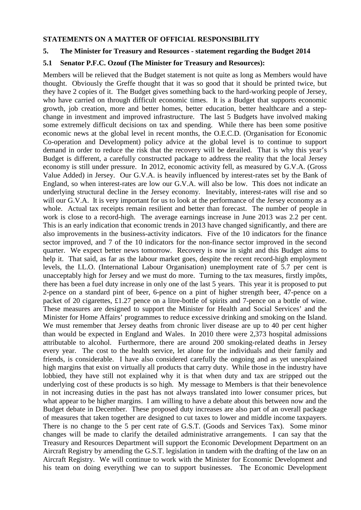## **STATEMENTS ON A MATTER OF OFFICIAL RESPONSIBILITY**

# **5. The Minister for Treasury and Resources - statement regarding the Budget 2014**

# **5.1 Senator P.F.C. Ozouf (The Minister for Treasury and Resources):**

Members will be relieved that the Budget statement is not quite as long as Members would have thought. Obviously the Greffe thought that it was so good that it should be printed twice, but they have 2 copies of it. The Budget gives something back to the hard-working people of Jersey, who have carried on through difficult economic times. It is a Budget that supports economic growth, job creation, more and better homes, better education, better healthcare and a stepchange in investment and improved infrastructure. The last 5 Budgets have involved making some extremely difficult decisions on tax and spending. While there has been some positive economic news at the global level in recent months, the O.E.C.D. (Organisation for Economic Co-operation and Development) policy advice at the global level is to continue to support demand in order to reduce the risk that the recovery will be derailed. That is why this year's Budget is different, a carefully constructed package to address the reality that the local Jersey economy is still under pressure. In 2012, economic activity fell, as measured by G.V.A. (Gross Value Added) in Jersey. Our G.V.A. is heavily influenced by interest-rates set by the Bank of England, so when interest-rates are low our G.V.A. will also be low. This does not indicate an underlying structural decline in the Jersey economy. Inevitably, interest-rates will rise and so will our G.V.A. It is very important for us to look at the performance of the Jersey economy as a whole. Actual tax receipts remain resilient and better than forecast. The number of people in work is close to a record-high. The average earnings increase in June 2013 was 2.2 per cent. This is an early indication that economic trends in 2013 have changed significantly, and there are also improvements in the business-activity indicators. Five of the 10 indicators for the finance sector improved, and 7 of the 10 indicators for the non-finance sector improved in the second quarter. We expect better news tomorrow. Recovery is now in sight and this Budget aims to help it. That said, as far as the labour market goes, despite the recent record-high employment levels, the I.L.O. (International Labour Organisation) unemployment rate of 5.7 per cent is unacceptably high for Jersey and we must do more. Turning to the tax measures, firstly impôts, there has been a fuel duty increase in only one of the last 5 years. This year it is proposed to put 2-pence on a standard pint of beer, 6-pence on a pint of higher strength beer, 47-pence on a packet of 20 cigarettes, £1.27 pence on a litre-bottle of spirits and 7-pence on a bottle of wine. These measures are designed to support the Minister for Health and Social Services' and the Minister for Home Affairs' programmes to reduce excessive drinking and smoking on the Island. We must remember that Jersey deaths from chronic liver disease are up to 40 per cent higher than would be expected in England and Wales. In 2010 there were 2,373 hospital admissions attributable to alcohol. Furthermore, there are around 200 smoking-related deaths in Jersey every year. The cost to the health service, let alone for the individuals and their family and friends, is considerable. I have also considered carefully the ongoing and as yet unexplained high margins that exist on virtually all products that carry duty. While those in the industry have lobbied, they have still not explained why it is that when duty and tax are stripped out the underlying cost of these products is so high. My message to Members is that their benevolence in not increasing duties in the past has not always translated into lower consumer prices, but what appear to be higher margins. I am willing to have a debate about this between now and the Budget debate in December. These proposed duty increases are also part of an overall package of measures that taken together are designed to cut taxes to lower and middle income taxpayers. There is no change to the 5 per cent rate of G.S.T. (Goods and Services Tax). Some minor changes will be made to clarify the detailed administrative arrangements. I can say that the Treasury and Resources Department will support the Economic Development Department on an Aircraft Registry by amending the G.S.T. legislation in tandem with the drafting of the law on an Aircraft Registry. We will continue to work with the Minister for Economic Development and his team on doing everything we can to support businesses. The Economic Development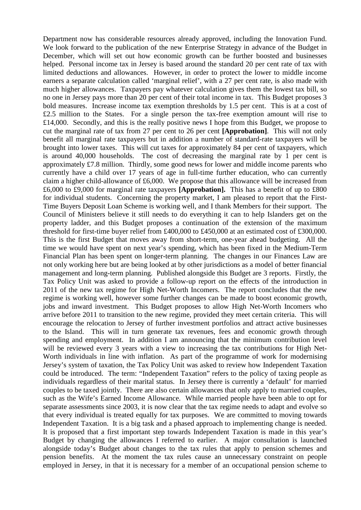Department now has considerable resources already approved, including the Innovation Fund. We look forward to the publication of the new Enterprise Strategy in advance of the Budget in December, which will set out how economic growth can be further boosted and businesses helped. Personal income tax in Jersey is based around the standard 20 per cent rate of tax with limited deductions and allowances. However, in order to protect the lower to middle income earners a separate calculation called 'marginal relief', with a 27 per cent rate, is also made with much higher allowances. Taxpayers pay whatever calculation gives them the lowest tax bill, so no one in Jersey pays more than 20 per cent of their total income in tax. This Budget proposes 3 bold measures. Increase income tax exemption thresholds by 1.5 per cent. This is at a cost of £2.5 million to the States. For a single person the tax-free exemption amount will rise to £14,000. Secondly, and this is the really positive news I hope from this Budget, we propose to cut the marginal rate of tax from 27 per cent to 26 per cent **[Approbation]**. This will not only benefit all marginal rate taxpayers but in addition a number of standard-rate taxpayers will be brought into lower taxes. This will cut taxes for approximately 84 per cent of taxpayers, which is around 40,000 households. The cost of decreasing the marginal rate by 1 per cent is approximately £7.8 million. Thirdly, some good news for lower and middle income parents who currently have a child over 17 years of age in full-time further education, who can currently claim a higher child-allowance of £6,000. We propose that this allowance will be increased from £6,000 to £9,000 for marginal rate taxpayers **[Approbation].** This has a benefit of up to £800 for individual students. Concerning the property market, I am pleased to report that the First-Time Buyers Deposit Loan Scheme is working well, and I thank Members for their support. The Council of Ministers believe it still needs to do everything it can to help Islanders get on the property ladder, and this Budget proposes a continuation of the extension of the maximum threshold for first-time buyer relief from £400,000 to £450,000 at an estimated cost of £300,000. This is the first Budget that moves away from short-term, one-year ahead budgeting. All the time we would have spent on next year's spending, which has been fixed in the Medium-Term Financial Plan has been spent on longer-term planning. The changes in our Finances Law are not only working here but are being looked at by other jurisdictions as a model of better financial management and long-term planning. Published alongside this Budget are 3 reports. Firstly, the Tax Policy Unit was asked to provide a follow-up report on the effects of the introduction in 2011 of the new tax regime for High Net-Worth Incomers. The report concludes that the new regime is working well, however some further changes can be made to boost economic growth, jobs and inward investment. This Budget proposes to allow High Net-Worth Incomers who arrive before 2011 to transition to the new regime, provided they meet certain criteria. This will encourage the relocation to Jersey of further investment portfolios and attract active businesses to the Island. This will in turn generate tax revenues, fees and economic growth through spending and employment. In addition I am announcing that the minimum contribution level will be reviewed every 3 years with a view to increasing the tax contributions for High Net-Worth individuals in line with inflation. As part of the programme of work for modernising Jersey's system of taxation, the Tax Policy Unit was asked to review how Independent Taxation could be introduced. The term: "Independent Taxation" refers to the policy of taxing people as individuals regardless of their marital status. In Jersey there is currently a 'default' for married couples to be taxed jointly. There are also certain allowances that only apply to married couples, such as the Wife's Earned Income Allowance. While married people have been able to opt for separate assessments since 2003, it is now clear that the tax regime needs to adapt and evolve so that every individual is treated equally for tax purposes. We are committed to moving towards Independent Taxation. It is a big task and a phased approach to implementing change is needed. It is proposed that a first important step towards Independent Taxation is made in this year's Budget by changing the allowances I referred to earlier. A major consultation is launched alongside today's Budget about changes to the tax rules that apply to pension schemes and pension benefits. At the moment the tax rules cause an unnecessary constraint on people employed in Jersey, in that it is necessary for a member of an occupational pension scheme to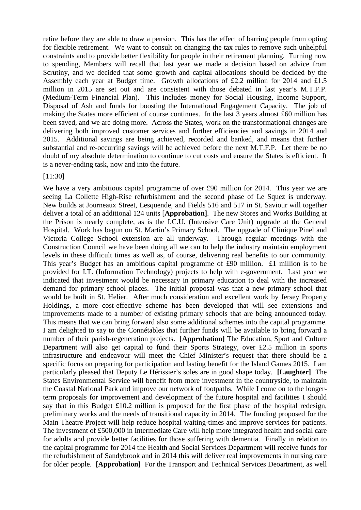retire before they are able to draw a pension. This has the effect of barring people from opting for flexible retirement. We want to consult on changing the tax rules to remove such unhelpful constraints and to provide better flexibility for people in their retirement planning. Turning now to spending, Members will recall that last year we made a decision based on advice from Scrutiny, and we decided that some growth and capital allocations should be decided by the Assembly each year at Budget time. Growth allocations of £2.2 million for 2014 and £1.5 million in 2015 are set out and are consistent with those debated in last year's M.T.F.P. (Medium-Term Financial Plan). This includes money for Social Housing, Income Support, Disposal of Ash and funds for boosting the International Engagement Capacity. The job of making the States more efficient of course continues. In the last 3 years almost £60 million has been saved, and we are doing more. Across the States, work on the transformational changes are delivering both improved customer services and further efficiencies and savings in 2014 and 2015. Additional savings are being achieved, recorded and banked, and means that further substantial and re-occurring savings will be achieved before the next M.T.F.P. Let there be no doubt of my absolute determination to continue to cut costs and ensure the States is efficient. It is a never-ending task, now and into the future.

#### [11:30]

We have a very ambitious capital programme of over £90 million for 2014. This year we are seeing La Collette High-Rise refurbishment and the second phase of Le Squez is underway. New builds at Journeaux Street, Lesquende, and Fields 516 and 517 in St. Saviour will together deliver a total of an additional 124 units [**Approbation]**. The new Stores and Works Building at the Prison is nearly complete, as is the I.C.U. (Intensive Care Unit) upgrade at the General Hospital. Work has begun on St. Martin's Primary School. The upgrade of Clinique Pinel and Victoria College School extension are all underway. Through regular meetings with the Construction Council we have been doing all we can to help the industry maintain employment levels in these difficult times as well as, of course, delivering real benefits to our community. This year's Budget has an ambitious capital programme of £90 million. £1 million is to be provided for I.T. (Information Technology) projects to help with e-government. Last year we indicated that investment would be necessary in primary education to deal with the increased demand for primary school places. The initial proposal was that a new primary school that would be built in St. Helier. After much consideration and excellent work by Jersey Property Holdings, a more cost-effective scheme has been developed that will see extensions and improvements made to a number of existing primary schools that are being announced today. This means that we can bring forward also some additional schemes into the capital programme. I am delighted to say to the Connétables that further funds will be available to bring forward a number of their parish-regeneration projects. **[Approbation]** The Education, Sport and Culture Department will also get capital to fund their Sports Strategy, over £2.5 million in sports infrastructure and endeavour will meet the Chief Minister's request that there should be a specific focus on preparing for participation and lasting benefit for the Island Games 2015. I am particularly pleased that Deputy Le Hérissier's soles are in good shape today. **[Laughter]** The States Environmental Service will benefit from more investment in the countryside, to maintain the Coastal National Park and improve our network of footpaths. While I come on to the longerterm proposals for improvement and development of the future hospital and facilities I should say that in this Budget £10.2 million is proposed for the first phase of the hospital redesign, preliminary works and the needs of transitional capacity in 2014. The funding proposed for the Main Theatre Project will help reduce hospital waiting-times and improve services for patients. The investment of £500,000 in Intermediate Care will help more integrated health and social care for adults and provide better facilities for those suffering with dementia. Finally in relation to the capital programme for 2014 the Health and Social Services Department will receive funds for the refurbishment of Sandybrook and in 2014 this will deliver real improvements in nursing care for older people. **[Approbation]** For the Transport and Technical Services Deoartment, as well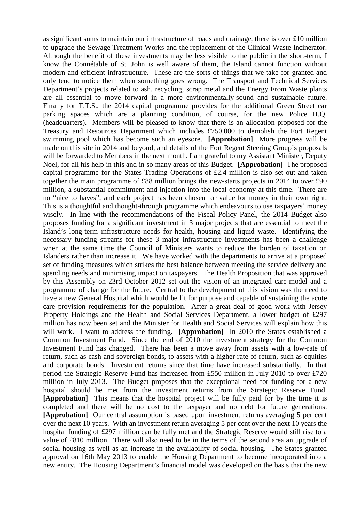as significant sums to maintain our infrastructure of roads and drainage, there is over  $\pounds 10$  million to upgrade the Sewage Treatment Works and the replacement of the Clinical Waste Incinerator. Although the benefit of these investments may be less visible to the public in the short-term, I know the Connétable of St. John is well aware of them, the Island cannot function without modern and efficient infrastructure. These are the sorts of things that we take for granted and only tend to notice them when something goes wrong. The Transport and Technical Services Department's projects related to ash, recycling, scrap metal and the Energy From Waste plants are all essential to move forward in a more environmentally-sound and sustainable future. Finally for T.T.S., the 2014 capital programme provides for the additional Green Street car parking spaces which are a planning condition, of course, for the new Police H.Q. (headquarters). Members will be pleased to know that there is an allocation proposed for the Treasury and Resources Department which includes £750,000 to demolish the Fort Regent swimming pool which has become such an eyesore. **[Approbation]** More progress will be made on this site in 2014 and beyond, and details of the Fort Regent Steering Group's proposals will be forwarded to Members in the next month. I am grateful to my Assistant Minister, Deputy Noel, for all his help in this and in so many areas of this Budget. **[Approbation]** The proposed capital programme for the States Trading Operations of £2.4 million is also set out and taken together the main programme of £88 million brings the new-starts projects in 2014 to over £90 million, a substantial commitment and injection into the local economy at this time. There are no "nice to haves", and each project has been chosen for value for money in their own right. This is a thoughtful and thought-through programme which endeavours to use taxpayers' money wisely. In line with the recommendations of the Fiscal Policy Panel, the 2014 Budget also proposes funding for a significant investment in 3 major projects that are essential to meet the Island's long-term infrastructure needs for health, housing and liquid waste. Identifying the necessary funding streams for these 3 major infrastructure investments has been a challenge when at the same time the Council of Ministers wants to reduce the burden of taxation on Islanders rather than increase it. We have worked with the departments to arrive at a proposed set of funding measures which strikes the best balance between meeting the service delivery and spending needs and minimising impact on taxpayers. The Health Proposition that was approved by this Assembly on 23rd October 2012 set out the vision of an integrated care-model and a programme of change for the future. Central to the development of this vision was the need to have a new General Hospital which would be fit for purpose and capable of sustaining the acute care provision requirements for the population. After a great deal of good work with Jersey Property Holdings and the Health and Social Services Department, a lower budget of £297 million has now been set and the Minister for Health and Social Services will explain how this will work. I want to address the funding. **[Approbation]** In 2010 the States established a Common Investment Fund. Since the end of 2010 the investment strategy for the Common Investment Fund has changed. There has been a move away from assets with a low-rate of return, such as cash and sovereign bonds, to assets with a higher-rate of return, such as equities and corporate bonds. Investment returns since that time have increased substantially. In that period the Strategic Reserve Fund has increased from £550 million in July 2010 to over £720 million in July 2013. The Budget proposes that the exceptional need for funding for a new hospital should be met from the investment returns from the Strategic Reserve Fund. **[Approbation]** This means that the hospital project will be fully paid for by the time it is completed and there will be no cost to the taxpayer and no debt for future generations. **[Approbation]** Our central assumption is based upon investment returns averaging 5 per cent over the next 10 years. With an investment return averaging 5 per cent over the next 10 years the hospital funding of £297 million can be fully met and the Strategic Reserve would still rise to a value of £810 million. There will also need to be in the terms of the second area an upgrade of social housing as well as an increase in the availability of social housing. The States granted approval on 16th May 2013 to enable the Housing Department to become incorporated into a new entity. The Housing Department's financial model was developed on the basis that the new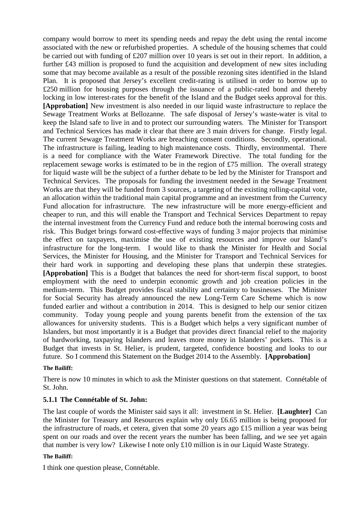company would borrow to meet its spending needs and repay the debt using the rental income associated with the new or refurbished properties. A schedule of the housing schemes that could be carried out with funding of £207 million over 10 years is set out in their report. In addition, a further £43 million is proposed to fund the acquisition and development of new sites including some that may become available as a result of the possible rezoning sites identified in the Island Plan. It is proposed that Jersey's excellent credit-rating is utilised in order to borrow up to £250 million for housing purposes through the issuance of a public-rated bond and thereby locking in low interest-rates for the benefit of the Island and the Budget seeks approval for this. **[Approbation]** New investment is also needed in our liquid waste infrastructure to replace the Sewage Treatment Works at Bellozanne. The safe disposal of Jersey's waste-water is vital to keep the Island safe to live in and to protect our surrounding waters. The Minister for Transport and Technical Services has made it clear that there are 3 main drivers for change. Firstly legal. The current Sewage Treatment Works are breaching consent conditions. Secondly, operational. The infrastructure is failing, leading to high maintenance costs. Thirdly, environmental. There is a need for compliance with the Water Framework Directive. The total funding for the replacement sewage works is estimated to be in the region of £75 million. The overall strategy for liquid waste will be the subject of a further debate to be led by the Minister for Transport and Technical Services. The proposals for funding the investment needed in the Sewage Treatment Works are that they will be funded from 3 sources, a targeting of the existing rolling-capital vote, an allocation within the traditional main capital programme and an investment from the Currency Fund allocation for infrastructure. The new infrastructure will be more energy-efficient and cheaper to run, and this will enable the Transport and Technical Services Department to repay the internal investment from the Currency Fund and reduce both the internal borrowing costs and risk. This Budget brings forward cost-effective ways of funding 3 major projects that minimise the effect on taxpayers, maximise the use of existing resources and improve our Island's infrastructure for the long-term. I would like to thank the Minister for Health and Social Services, the Minister for Housing, and the Minister for Transport and Technical Services for their hard work in supporting and developing these plans that underpin these strategies. **[Approbation]** This is a Budget that balances the need for short-term fiscal support, to boost employment with the need to underpin economic growth and job creation policies in the medium-term. This Budget provides fiscal stability and certainty to businesses. The Minister for Social Security has already announced the new Long-Term Care Scheme which is now funded earlier and without a contribution in 2014. This is designed to help our senior citizen community. Today young people and young parents benefit from the extension of the tax allowances for university students. This is a Budget which helps a very significant number of Islanders, but most importantly it is a Budget that provides direct financial relief to the majority of hardworking, taxpaying Islanders and leaves more money in Islanders' pockets. This is a Budget that invests in St. Helier, is prudent, targeted, confidence boosting and looks to our future. So I commend this Statement on the Budget 2014 to the Assembly. **[Approbation]** 

### **The Bailiff:**

There is now 10 minutes in which to ask the Minister questions on that statement. Connétable of St. John.

### **5.1.1 The Connétable of St. John:**

The last couple of words the Minister said says it all: investment in St. Helier. **[Laughter]** Can the Minister for Treasury and Resources explain why only £6.65 million is being proposed for the infrastructure of roads, et cetera, given that some 20 years ago £15 million a year was being spent on our roads and over the recent years the number has been falling, and we see yet again that number is very low? Likewise I note only £10 million is in our Liquid Waste Strategy.

### **The Bailiff:**

I think one question please, Connétable.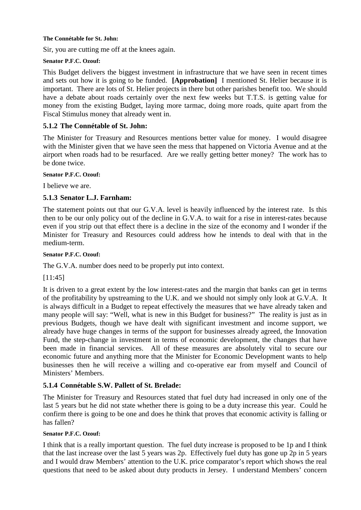#### **The Connétable for St. John:**

Sir, you are cutting me off at the knees again.

### **Senator P.F.C. Ozouf:**

This Budget delivers the biggest investment in infrastructure that we have seen in recent times and sets out how it is going to be funded. **[Approbation]** I mentioned St. Helier because it is important. There are lots of St. Helier projects in there but other parishes benefit too. We should have a debate about roads certainly over the next few weeks but T.T.S. is getting value for money from the existing Budget, laying more tarmac, doing more roads, quite apart from the Fiscal Stimulus money that already went in.

# **5.1.2 The Connétable of St. John:**

The Minister for Treasury and Resources mentions better value for money. I would disagree with the Minister given that we have seen the mess that happened on Victoria Avenue and at the airport when roads had to be resurfaced. Are we really getting better money? The work has to be done twice.

#### **Senator P.F.C. Ozouf:**

I believe we are.

## **5.1.3 Senator L.J. Farnham:**

The statement points out that our G.V.A. level is heavily influenced by the interest rate. Is this then to be our only policy out of the decline in G.V.A. to wait for a rise in interest-rates because even if you strip out that effect there is a decline in the size of the economy and I wonder if the Minister for Treasury and Resources could address how he intends to deal with that in the medium-term.

### **Senator P.F.C. Ozouf:**

The G.V.A. number does need to be properly put into context.

[11:45]

It is driven to a great extent by the low interest-rates and the margin that banks can get in terms of the profitability by upstreaming to the U.K. and we should not simply only look at G.V.A. It is always difficult in a Budget to repeat effectively the measures that we have already taken and many people will say: "Well, what is new in this Budget for business?" The reality is just as in previous Budgets, though we have dealt with significant investment and income support, we already have huge changes in terms of the support for businesses already agreed, the Innovation Fund, the step-change in investment in terms of economic development, the changes that have been made in financial services. All of these measures are absolutely vital to secure our economic future and anything more that the Minister for Economic Development wants to help businesses then he will receive a willing and co-operative ear from myself and Council of Ministers' Members.

# **5.1.4 Connétable S.W. Pallett of St. Brelade:**

The Minister for Treasury and Resources stated that fuel duty had increased in only one of the last 5 years but he did not state whether there is going to be a duty increase this year. Could he confirm there is going to be one and does he think that proves that economic activity is falling or has fallen?

### **Senator P.F.C. Ozouf:**

I think that is a really important question. The fuel duty increase is proposed to be 1p and I think that the last increase over the last 5 years was 2p. Effectively fuel duty has gone up 2p in 5 years and I would draw Members' attention to the U.K. price comparator's report which shows the real questions that need to be asked about duty products in Jersey. I understand Members' concern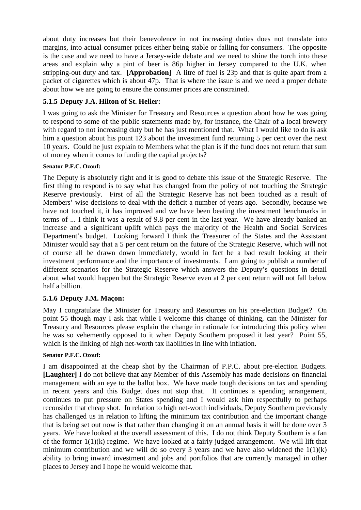about duty increases but their benevolence in not increasing duties does not translate into margins, into actual consumer prices either being stable or falling for consumers. The opposite is the case and we need to have a Jersey-wide debate and we need to shine the torch into these areas and explain why a pint of beer is 86p higher in Jersey compared to the U.K. when stripping-out duty and tax. **[Approbation]** A litre of fuel is 23p and that is quite apart from a packet of cigarettes which is about 47p. That is where the issue is and we need a proper debate about how we are going to ensure the consumer prices are constrained.

# **5.1.5 Deputy J.A. Hilton of St. Helier:**

I was going to ask the Minister for Treasury and Resources a question about how he was going to respond to some of the public statements made by, for instance, the Chair of a local brewery with regard to not increasing duty but he has just mentioned that. What I would like to do is ask him a question about his point 123 about the investment fund returning 5 per cent over the next 10 years. Could he just explain to Members what the plan is if the fund does not return that sum of money when it comes to funding the capital projects?

## **Senator P.F.C. Ozouf:**

The Deputy is absolutely right and it is good to debate this issue of the Strategic Reserve. The first thing to respond is to say what has changed from the policy of not touching the Strategic Reserve previously. First of all the Strategic Reserve has not been touched as a result of Members' wise decisions to deal with the deficit a number of years ago. Secondly, because we have not touched it, it has improved and we have been beating the investment benchmarks in terms of ... I think it was a result of 9.8 per cent in the last year. We have already banked an increase and a significant uplift which pays the majority of the Health and Social Services Department's budget. Looking forward I think the Treasurer of the States and the Assistant Minister would say that a 5 per cent return on the future of the Strategic Reserve, which will not of course all be drawn down immediately, would in fact be a bad result looking at their investment performance and the importance of investments. I am going to publish a number of different scenarios for the Strategic Reserve which answers the Deputy's questions in detail about what would happen but the Strategic Reserve even at 2 per cent return will not fall below half a billion.

# **5.1.6 Deputy J.M. Maçon:**

May I congratulate the Minister for Treasury and Resources on his pre-election Budget? On point 55 though may I ask that while I welcome this change of thinking, can the Minister for Treasury and Resources please explain the change in rationale for introducing this policy when he was so vehemently opposed to it when Deputy Southern proposed it last year? Point 55, which is the linking of high net-worth tax liabilities in line with inflation.

### **Senator P.F.C. Ozouf:**

I am disappointed at the cheap shot by the Chairman of P.P.C. about pre-election Budgets. **[Laughter]** I do not believe that any Member of this Assembly has made decisions on financial management with an eye to the ballot box. We have made tough decisions on tax and spending in recent years and this Budget does not stop that. It continues a spending arrangement, continues to put pressure on States spending and I would ask him respectfully to perhaps reconsider that cheap shot. In relation to high net-worth individuals, Deputy Southern previously has challenged us in relation to lifting the minimum tax contribution and the important change that is being set out now is that rather than changing it on an annual basis it will be done over 3 years. We have looked at the overall assessment of this. I do not think Deputy Southern is a fan of the former 1(1)(k) regime. We have looked at a fairly-judged arrangement. We will lift that minimum contribution and we will do so every 3 years and we have also widened the  $1(1)(k)$ ability to bring inward investment and jobs and portfolios that are currently managed in other places to Jersey and I hope he would welcome that.